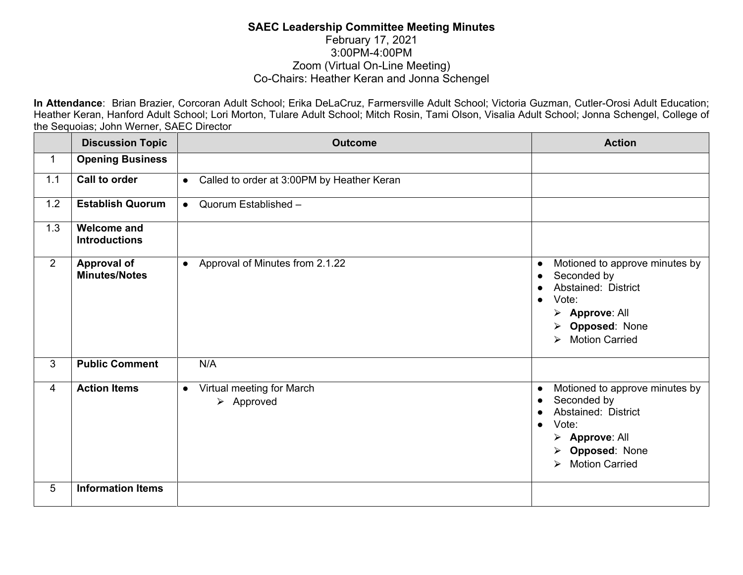## **SAEC Leadership Committee Meeting Minutes** February 17, 2021 3:00PM-4:00PM Zoom (Virtual On-Line Meeting) Co-Chairs: Heather Keran and Jonna Schengel

**In Attendance**: Brian Brazier, Corcoran Adult School; Erika DeLaCruz, Farmersville Adult School; Victoria Guzman, Cutler-Orosi Adult Education; Heather Keran, Hanford Adult School; Lori Morton, Tulare Adult School; Mitch Rosin, Tami Olson, Visalia Adult School; Jonna Schengel, College of the Sequoias; John Werner, SAEC Director

|                | <b>Discussion Topic</b>                    | <b>Outcome</b>                                                      | <b>Action</b>                                                                                                                                                                                               |
|----------------|--------------------------------------------|---------------------------------------------------------------------|-------------------------------------------------------------------------------------------------------------------------------------------------------------------------------------------------------------|
| $\mathbf{1}$   | <b>Opening Business</b>                    |                                                                     |                                                                                                                                                                                                             |
| 1.1            | Call to order                              | Called to order at 3:00PM by Heather Keran<br>$\bullet$             |                                                                                                                                                                                                             |
| 1.2            | <b>Establish Quorum</b>                    | Quorum Established -<br>$\bullet$                                   |                                                                                                                                                                                                             |
| 1.3            | <b>Welcome and</b><br><b>Introductions</b> |                                                                     |                                                                                                                                                                                                             |
| $\overline{2}$ | <b>Approval of</b><br><b>Minutes/Notes</b> | Approval of Minutes from 2.1.22<br>$\bullet$                        | Motioned to approve minutes by<br>$\bullet$<br>Seconded by<br>$\bullet$<br>Abstained: District<br>Vote:<br>$\triangleright$ Approve: All<br>> Opposed: None<br>> Motion Carried                             |
| $\mathbf{3}$   | <b>Public Comment</b>                      | N/A                                                                 |                                                                                                                                                                                                             |
| $\overline{4}$ | <b>Action Items</b>                        | Virtual meeting for March<br>$\bullet$<br>$\triangleright$ Approved | Motioned to approve minutes by<br>$\bullet$<br>Seconded by<br>$\bullet$<br>Abstained: District<br>Vote:<br>$\bullet$<br>> Approve: All<br>> Opposed: None<br><b>Motion Carried</b><br>$\blacktriangleright$ |
| 5              | <b>Information Items</b>                   |                                                                     |                                                                                                                                                                                                             |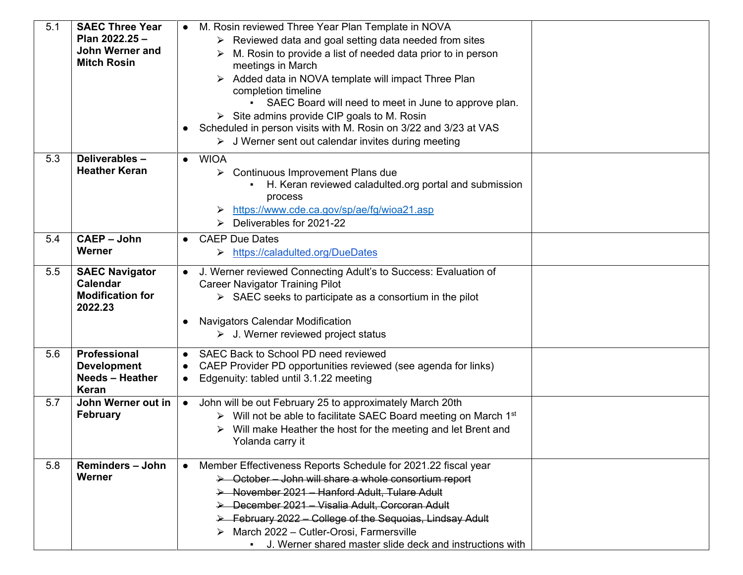| 5.1 | <b>SAEC Three Year</b><br>Plan 2022.25 -<br><b>John Werner and</b><br><b>Mitch Rosin</b> | • M. Rosin reviewed Three Year Plan Template in NOVA<br>$\triangleright$ Reviewed data and goal setting data needed from sites<br>M. Rosin to provide a list of needed data prior to in person<br>meetings in March<br>Added data in NOVA template will impact Three Plan<br>completion timeline<br>SAEC Board will need to meet in June to approve plan.<br>$\triangleright$ Site admins provide CIP goals to M. Rosin<br>• Scheduled in person visits with M. Rosin on 3/22 and 3/23 at VAS<br>$\triangleright$ J Werner sent out calendar invites during meeting |
|-----|------------------------------------------------------------------------------------------|---------------------------------------------------------------------------------------------------------------------------------------------------------------------------------------------------------------------------------------------------------------------------------------------------------------------------------------------------------------------------------------------------------------------------------------------------------------------------------------------------------------------------------------------------------------------|
| 5.3 | Deliverables-<br><b>Heather Keran</b>                                                    | <b>WIOA</b><br>$\bullet$<br>Continuous Improvement Plans due<br>➤<br>H. Keran reviewed caladulted org portal and submission<br>a.<br>process<br>https://www.cde.ca.gov/sp/ae/fg/wioa21.asp<br>Deliverables for 2021-22<br>⋗                                                                                                                                                                                                                                                                                                                                         |
| 5.4 | <b>CAEP - John</b><br>Werner                                                             | <b>CAEP Due Dates</b><br>https://caladulted.org/DueDates<br>➤                                                                                                                                                                                                                                                                                                                                                                                                                                                                                                       |
| 5.5 | <b>SAEC Navigator</b><br><b>Calendar</b><br><b>Modification for</b><br>2022.23           | J. Werner reviewed Connecting Adult's to Success: Evaluation of<br><b>Career Navigator Training Pilot</b><br>$\triangleright$ SAEC seeks to participate as a consortium in the pilot<br><b>Navigators Calendar Modification</b><br>$\triangleright$ J. Werner reviewed project status                                                                                                                                                                                                                                                                               |
| 5.6 | Professional<br><b>Development</b><br><b>Needs - Heather</b><br><b>Keran</b>             | SAEC Back to School PD need reviewed<br>$\bullet$<br>CAEP Provider PD opportunities reviewed (see agenda for links)<br>Edgenuity: tabled until 3.1.22 meeting                                                                                                                                                                                                                                                                                                                                                                                                       |
| 5.7 | John Werner out in<br><b>February</b>                                                    | John will be out February 25 to approximately March 20th<br>$\bullet$<br>> Will not be able to facilitate SAEC Board meeting on March 1st<br>Will make Heather the host for the meeting and let Brent and<br>Yolanda carry it                                                                                                                                                                                                                                                                                                                                       |
| 5.8 | <b>Reminders - John</b><br>Werner                                                        | Member Effectiveness Reports Schedule for 2021.22 fiscal year<br>> October - John will share a whole consortium report<br>> November 2021 - Hanford Adult, Tulare Adult<br>> December 2021 - Visalia Adult, Corcoran Adult<br>→ February 2022 – College of the Sequoias, Lindsay Adult<br>March 2022 - Cutler-Orosi, Farmersville<br>J. Werner shared master slide deck and instructions with                                                                                                                                                                       |